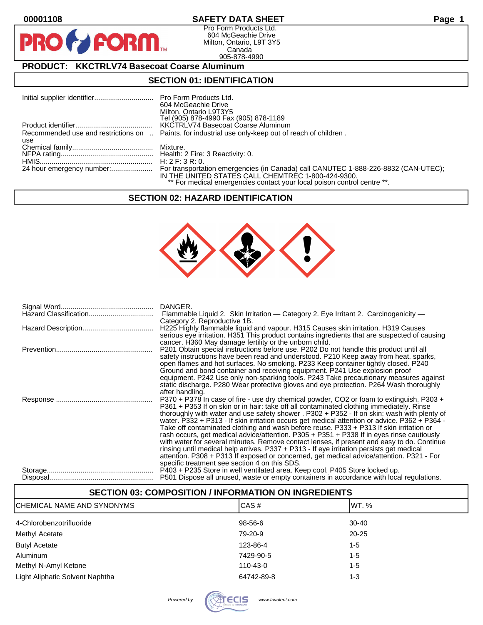**PI** 

# **00001108 SAFETY DATA SHEET Page 1**

Pro Form Products Ltd. 604 McGeachie Drive Milton, Ontario, L9T 3Y5 Canada 905-878-4990

### **PRODUCT: KKCTRLV74 Basecoat Coarse Aluminum**

**FORM** 

### **SECTION 01: IDENTIFICATION**

|     | 604 McGeachie Drive<br>Milton, Ontario L9T3Y5<br>Tel (905) 878-4990 Fax (905) 878-1189                                        |
|-----|-------------------------------------------------------------------------------------------------------------------------------|
|     | KKCTRLV74 Basecoat Coarse Aluminum                                                                                            |
| use | Recommended use and restrictions on  Paints. for industrial use only-keep out of reach of children.                           |
|     |                                                                                                                               |
|     |                                                                                                                               |
|     |                                                                                                                               |
|     | IN THE UNITED STATES CALL CHEMTREC 1-800-424-9300.<br>** For medical emergencies contact your local poison control centre **. |

#### **SECTION 02: HAZARD IDENTIFICATION**



| Flammable Liquid 2. Skin Irritation — Category 2. Eye Irritant 2. Carcinogenicity —           |
|-----------------------------------------------------------------------------------------------|
| Category 2. Reproductive 1B.                                                                  |
|                                                                                               |
| H225 Highly flammable liquid and vapour. H315 Causes skin irritation. H319 Causes             |
| serious eye irritation. H351 This product contains ingredients that are suspected of causing  |
| cancer. H360 May damage fertility or the unborn child.                                        |
| P201 Obtain special instructions before use. P202 Do not handle this product until all        |
| safety instructions have been read and understood. P210 Keep away from heat, sparks,          |
| open flames and hot surfaces. No smoking. P233 Keep container tightly closed. P240            |
| Ground and bond container and receiving equipment. P241 Use explosion proof                   |
| equipment. P242 Use only non-sparking tools. P243 Take precautionary measures against         |
| static discharge. P280 Wear protective gloves and eye protection. P264 Wash thoroughly        |
|                                                                                               |
| after handling.                                                                               |
| P370 + P378 In case of fire - use dry chemical powder, CO2 or foam to extinguish. P303 +      |
| P361 + P353 If on skin or in hair: take off all contaminated clothing immediately. Rinse      |
| thoroughly with water and use safety shower . P302 + P352 - If on skin: wash with plenty of   |
| water. P332 + P313 - If skin irritation occurs get medical attention or advice. P362 + P364 - |
| Take off contaminated clothing and wash before reuse. P333 + P313 If skin irritation or       |
| rash occurs, get medical advice/attention. P305 + P351 + P338 If in eyes rinse cautiously     |
| with water for several minutes. Remove contact lenses, if present and easy to do. Continue    |
| rinsing until medical help arrives. P337 + P313 - If eye irritation persists get medical      |
| attention. P308 + P313 If exposed or concerned, get medical advice/attention. P321 - For      |
|                                                                                               |
| specific treatment see section 4 on this SDS.                                                 |
| P403 + P235 Store in well ventilated area. Keep cool. P405 Store locked up.                   |
| P501 Dispose all unused, waste or empty containers in accordance with local regulations.      |

| <b>SECTION 03: COMPOSITION / INFORMATION ON INGREDIENTS</b> |            |           |  |  |
|-------------------------------------------------------------|------------|-----------|--|--|
| ICHEMICAL NAME AND SYNONYMS                                 | CAS#       | IWT. %    |  |  |
| 4-Chlorobenzotrifluoride                                    | 98-56-6    | $30 - 40$ |  |  |
| Methyl Acetate                                              | 79-20-9    | $20 - 25$ |  |  |
| <b>Butyl Acetate</b>                                        | 123-86-4   | $1 - 5$   |  |  |
| <b>Aluminum</b>                                             | 7429-90-5  | $1 - 5$   |  |  |
| Methyl N-Amyl Ketone                                        | 110-43-0   | $1 - 5$   |  |  |
| Light Aliphatic Solvent Naphtha                             | 64742-89-8 | 1-3       |  |  |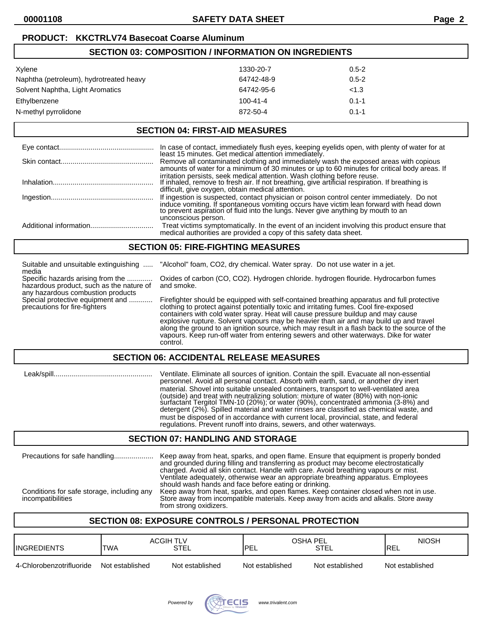| <b>SECTION 03: COMPOSITION / INFORMATION ON INGREDIENTS</b> |           |  |  |
|-------------------------------------------------------------|-----------|--|--|
| 1330-20-7                                                   | $0.5 - 2$ |  |  |
| 64742-48-9                                                  | $0.5 - 2$ |  |  |
| 64742-95-6                                                  | < 1.3     |  |  |
| $100 - 41 - 4$                                              | $0.1 - 1$ |  |  |
| 872-50-4                                                    | $0.1 - 1$ |  |  |
|                                                             |           |  |  |

### **SECTION 04: FIRST-AID MEASURES**

| In case of contact, immediately flush eyes, keeping eyelids open, with plenty of water for at least 15 minutes. Get medical attention immediately.                                                                                                                                            |
|-----------------------------------------------------------------------------------------------------------------------------------------------------------------------------------------------------------------------------------------------------------------------------------------------|
| Remove all contaminated clothing and immediately wash the exposed areas with copious<br>amounts of water for a minimum of 30 minutes or up to 60 minutes for critical body areas. If                                                                                                          |
| irritation persists, seek medical attention. Wash clothing before reuse.<br>If inhaled, remove to fresh air. If not breathing, give artificial respiration. If breathing is<br>difficult, give oxygen, obtain medical attention.                                                              |
| If ingestion is suspected, contact physician or poison control center immediately. Do not<br>induce vomiting. If spontaneous vomiting occurs have victim lean forward with head down to prevent aspiration of fluid into the lungs. Never give anything by mouth to an<br>unconscious person. |
| Treat victims symptomatically. In the event of an incident involving this product ensure that medical authorities are provided a copy of this safety data sheet.                                                                                                                              |

### **SECTION 05: FIRE-FIGHTING MEASURES**

| Suitable and unsuitable extinguishing<br>media                                                         | "Alcohol" foam, CO2, dry chemical. Water spray. Do not use water in a jet.                                                                                                                                                                                                                                                                                                                                                                                                                                                                                             |  |
|--------------------------------------------------------------------------------------------------------|------------------------------------------------------------------------------------------------------------------------------------------------------------------------------------------------------------------------------------------------------------------------------------------------------------------------------------------------------------------------------------------------------------------------------------------------------------------------------------------------------------------------------------------------------------------------|--|
| Specific hazards arising from the<br>hazardous product, such as the nature of                          | Oxides of carbon (CO, CO2). Hydrogen chloride. hydrogen flouride. Hydrocarbon fumes<br>and smoke.                                                                                                                                                                                                                                                                                                                                                                                                                                                                      |  |
| any hazardous combustion products<br>Special protective equipment and<br>precautions for fire-fighters | Firefighter should be equipped with self-contained breathing apparatus and full protective<br>clothing to protect against potentially toxic and irritating fumes. Cool fire-exposed<br>containers with cold water spray. Heat will cause pressure buildup and may cause<br>explosive rupture. Solvent vapours may be heavier than air and may build up and travel<br>along the ground to an ignition source, which may result in a flash back to the source of the<br>vapours. Keep run-off water from entering sewers and other waterways. Dike for water<br>control. |  |
| <b>SECTION 06: ACCIDENTAL RELEASE MEASURES</b>                                                         |                                                                                                                                                                                                                                                                                                                                                                                                                                                                                                                                                                        |  |

 Leak/spill.................................................. Ventilate. Eliminate all sources of ignition. Contain the spill. Evacuate all non-essential personnel. Avoid all personal contact. Absorb with earth, sand, or another dry inert material. Shovel into suitable unsealed containers, transport to well-ventilated area (outside) and treat with neutralizing solution: mixture of water (80%) with non-ionic surfactant Tergitol TMN-10 (20%); or water (90%), concentrated ammonia (3-8%) and detergent (2%). Spilled material and water rinses are classified as chemical waste, and must be disposed of in accordance with current local, provincial, state, and federal regulations. Prevent runoff into drains, sewers, and other waterways.

# **SECTION 07: HANDLING AND STORAGE**

| Precautions for safe handling                                   | Keep away from heat, sparks, and open flame. Ensure that equipment is properly bonded<br>and grounded during filling and transferring as product may become electrostatically<br>charged. Avoid all skin contact. Handle with care. Avoid breathing vapours or mist.<br>Ventilate adequately, otherwise wear an appropriate breathing apparatus. Employees<br>should wash hands and face before eating or drinking. |
|-----------------------------------------------------------------|---------------------------------------------------------------------------------------------------------------------------------------------------------------------------------------------------------------------------------------------------------------------------------------------------------------------------------------------------------------------------------------------------------------------|
| Conditions for safe storage, including any<br>incompatibilities | Keep away from heat, sparks, and open flames. Keep container closed when not in use.<br>Store away from incompatible materials. Keep away from acids and alkalis. Store away<br>from strong oxidizers.                                                                                                                                                                                                              |

# **SECTION 08: EXPOSURE CONTROLS / PERSONAL PROTECTION**

| <b>INGREDIENTS</b>       | <b>ACGIH TLV</b><br><b>TWA</b> | <b>STEL</b>     | OSHA PEL<br><b>PEL</b> | <b>STEL</b>     | <b>NIOSH</b><br><b>IREL</b> |
|--------------------------|--------------------------------|-----------------|------------------------|-----------------|-----------------------------|
| 4-Chlorobenzotrifluoride | Not established                | Not established | Not established        | Not established | Not established             |

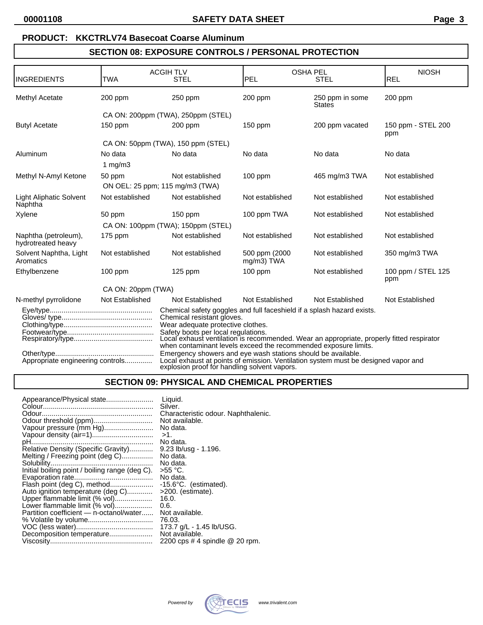# **PRODUCT: KKCTRLV74 Basecoat Coarse Aluminum**

# **SECTION 08: EXPOSURE CONTROLS / PERSONAL PROTECTION**

| INGREDIENTS                                | <b>TWA</b>                      | <b>ACGIHTLV</b><br><b>STEL</b>                                                                                                                                                                                                           | PEL                          | <b>OSHA PEL</b><br><b>STEL</b>   | <b>NIOSH</b><br>REL       |
|--------------------------------------------|---------------------------------|------------------------------------------------------------------------------------------------------------------------------------------------------------------------------------------------------------------------------------------|------------------------------|----------------------------------|---------------------------|
|                                            |                                 |                                                                                                                                                                                                                                          |                              |                                  |                           |
| Methyl Acetate                             | 200 ppm                         | 250 ppm                                                                                                                                                                                                                                  | 200 ppm                      | 250 ppm in some<br><b>States</b> | $200$ ppm                 |
|                                            |                                 | CA ON: 200ppm (TWA), 250ppm (STEL)                                                                                                                                                                                                       |                              |                                  |                           |
| <b>Butyl Acetate</b>                       | $150$ ppm                       | $200$ ppm                                                                                                                                                                                                                                | $150$ ppm                    | 200 ppm vacated                  | 150 ppm - STEL 200<br>ppm |
|                                            |                                 | CA ON: 50ppm (TWA), 150 ppm (STEL)                                                                                                                                                                                                       |                              |                                  |                           |
| Aluminum                                   | No data                         | No data                                                                                                                                                                                                                                  | No data                      | No data                          | No data                   |
|                                            | 1 mg/m $3$                      |                                                                                                                                                                                                                                          |                              |                                  |                           |
| Methyl N-Amyl Ketone                       | 50 ppm                          | Not established                                                                                                                                                                                                                          | $100$ ppm                    | 465 mg/m3 TWA                    | Not established           |
|                                            | ON OEL: 25 ppm; 115 mg/m3 (TWA) |                                                                                                                                                                                                                                          |                              |                                  |                           |
| <b>Light Aliphatic Solvent</b><br>Naphtha  | Not established                 | Not established                                                                                                                                                                                                                          | Not established              | Not established                  | Not established           |
| Xylene                                     | 50 ppm                          | $150$ ppm                                                                                                                                                                                                                                | 100 ppm TWA                  | Not established                  | Not established           |
|                                            |                                 | CA ON: 100ppm (TWA); 150ppm (STEL)                                                                                                                                                                                                       |                              |                                  |                           |
| Naphtha (petroleum),<br>hydrotreated heavy | $175$ ppm                       | Not established                                                                                                                                                                                                                          | Not established              | Not established                  | Not established           |
| Solvent Naphtha, Light<br>Aromatics        | Not established                 | Not established                                                                                                                                                                                                                          | 500 ppm (2000)<br>mg/m3) TWA | Not established                  | 350 mg/m3 TWA             |
| Ethylbenzene                               | $100$ ppm                       | $125$ ppm                                                                                                                                                                                                                                | $100$ ppm                    | Not established                  | 100 ppm / STEL 125<br>ppm |
| CA ON: 20ppm (TWA)                         |                                 |                                                                                                                                                                                                                                          |                              |                                  |                           |
| N-methyl pyrrolidone                       | Not Established                 | Not Established                                                                                                                                                                                                                          | Not Established              | Not Established                  | Not Established           |
|                                            |                                 | Chemical safety goggles and full faceshield if a splash hazard exists.<br>Chemical resistant gloves.                                                                                                                                     |                              |                                  |                           |
|                                            |                                 | Wear adequate protective clothes.<br>Safety boots per local regulations.<br>Local exhaust ventilation is recommended. Wear an appropriate, properly fitted respirator<br>when contaminant levels exceed the recommended exposure limits. |                              |                                  |                           |
| Appropriate engineering controls           |                                 | Emergency showers and eye wash stations should be available.<br>Local exhaust at points of emission. Ventilation system must be designed vapor and<br>explosion proof for handling solvent vapors.                                       |                              |                                  |                           |

# **SECTION 09: PHYSICAL AND CHEMICAL PROPERTIES**

| Appearance/Physical state                      | Liquid.                             |
|------------------------------------------------|-------------------------------------|
|                                                | Silver.                             |
|                                                | Characteristic odour. Naphthalenic. |
|                                                | Not available.                      |
| Vapour pressure (mm Hg)                        | No data.                            |
|                                                | $>1$ .                              |
|                                                | No data.                            |
| Relative Density (Specific Gravity)            | $9.23$ lb/usg - 1.196.              |
| Melting / Freezing point (deg C)               | No data.                            |
|                                                | No data.                            |
| Initial boiling point / boiling range (deg C). | >55 °C.                             |
|                                                | No data.                            |
| Flash point (deg C), method                    | $-15.6^{\circ}$ C. (estimated).     |
| Auto ignition temperature (deg C)              | >200. (estimate).                   |
| Upper flammable limit (% vol)                  | 16.0.                               |
| Lower flammable limit (% vol)                  | 0.6.                                |
| Partition coefficient - n-octanol/water        | Not available.                      |
|                                                | 76.03.                              |
|                                                | 173.7 g/L - 1.45 lb/USG.            |
| Decomposition temperature                      | Not available.                      |
|                                                | 2200 cps # 4 spindle @ 20 rpm.      |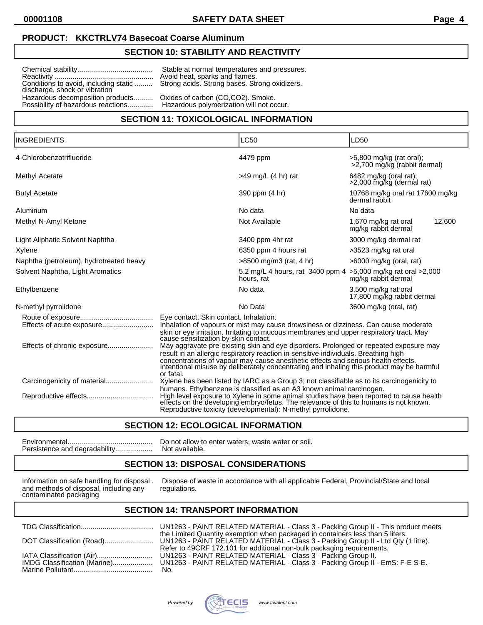#### **PRODUCT: KKCTRLV74 Basecoat Coarse Aluminum**

## **SECTION 10: STABILITY AND REACTIVITY**

Reactivity .................................................. Avoid heat, sparks and flames. discharge, shock or vibration Hazardous decomposition products.......... Oxides of carbon (CO,CO2). Smoke.<br>Possibility of hazardous reactions.............. Hazardous polymerization will not occur. Possibility of hazardous reactions.............

Chemical stability...................................... Stable at normal temperatures and pressures. Strong acids. Strong bases. Strong oxidizers.

### **SECTION 11: TOXICOLOGICAL INFORMATION**

| <b>INGREDIENTS</b>                      |                                                                                                                                                                                                                                                                                                                                                                             | <b>LC50</b>                                                                                                                                                                                                                                                                                                              | LD50                                                       |  |
|-----------------------------------------|-----------------------------------------------------------------------------------------------------------------------------------------------------------------------------------------------------------------------------------------------------------------------------------------------------------------------------------------------------------------------------|--------------------------------------------------------------------------------------------------------------------------------------------------------------------------------------------------------------------------------------------------------------------------------------------------------------------------|------------------------------------------------------------|--|
| 4-Chlorobenzotrifluoride                |                                                                                                                                                                                                                                                                                                                                                                             | 4479 ppm                                                                                                                                                                                                                                                                                                                 | $>6,800$ mg/kg (rat oral);<br>>2,700 mg/kg (rabbit dermal) |  |
| Methyl Acetate                          |                                                                                                                                                                                                                                                                                                                                                                             | $>49$ mg/L (4 hr) rat                                                                                                                                                                                                                                                                                                    | $6482$ mg/kg (oral rat);<br>>2,000 mg/kg (dermal rat)      |  |
| <b>Butyl Acetate</b>                    |                                                                                                                                                                                                                                                                                                                                                                             | 390 ppm (4 hr)                                                                                                                                                                                                                                                                                                           | 10768 mg/kg oral rat 17600 mg/kg<br>dermal rabbit          |  |
| Aluminum                                |                                                                                                                                                                                                                                                                                                                                                                             | No data                                                                                                                                                                                                                                                                                                                  | No data                                                    |  |
| Methyl N-Amyl Ketone                    |                                                                                                                                                                                                                                                                                                                                                                             | Not Available                                                                                                                                                                                                                                                                                                            | 1,670 mg/kg rat oral<br>12,600<br>mg/kg rabbit dermal      |  |
| Light Aliphatic Solvent Naphtha         |                                                                                                                                                                                                                                                                                                                                                                             | 3400 ppm 4hr rat                                                                                                                                                                                                                                                                                                         | 3000 mg/kg dermal rat                                      |  |
| Xylene                                  |                                                                                                                                                                                                                                                                                                                                                                             | 6350 ppm 4 hours rat                                                                                                                                                                                                                                                                                                     | >3523 mg/kg rat oral                                       |  |
| Naphtha (petroleum), hydrotreated heavy |                                                                                                                                                                                                                                                                                                                                                                             | $>8500$ mg/m3 (rat, 4 hr)                                                                                                                                                                                                                                                                                                | $>6000$ mg/kg (oral, rat)                                  |  |
| Solvent Naphtha, Light Aromatics        |                                                                                                                                                                                                                                                                                                                                                                             | 5.2 mg/L 4 hours, rat 3400 ppm 4 > 5,000 mg/kg rat oral > 2,000<br>hours, rat                                                                                                                                                                                                                                            | mg/kg rabbit dermal                                        |  |
| Ethylbenzene                            |                                                                                                                                                                                                                                                                                                                                                                             | No data                                                                                                                                                                                                                                                                                                                  | 3,500 mg/kg rat oral<br>17,800 mg/kg rabbit dermal         |  |
| N-methyl pyrrolidone                    |                                                                                                                                                                                                                                                                                                                                                                             | No Data                                                                                                                                                                                                                                                                                                                  | 3600 mg/kg (oral, rat)                                     |  |
|                                         | Eye contact. Skin contact. Inhalation.                                                                                                                                                                                                                                                                                                                                      |                                                                                                                                                                                                                                                                                                                          |                                                            |  |
|                                         | Inhalation of vapours or mist may cause drowsiness or dizziness. Can cause moderate<br>skin or eye irritation. Irritating to mucous membranes and upper respiratory tract. May<br>cause sensitization by skin contact.                                                                                                                                                      |                                                                                                                                                                                                                                                                                                                          |                                                            |  |
|                                         | May aggravate pre-existing skin and eye disorders. Prolonged or repeated exposure may<br>result in an allergic respiratory reaction in sensitive individuals. Breathing high<br>concentrations of vapour may cause anesthetic effects and serious health effects.<br>Intentional misuse by deliberately concentrating and inhaling this product may be harmful<br>or fatal. |                                                                                                                                                                                                                                                                                                                          |                                                            |  |
|                                         |                                                                                                                                                                                                                                                                                                                                                                             | Xylene has been listed by IARC as a Group 3; not classifiable as to its carcinogenicity to                                                                                                                                                                                                                               |                                                            |  |
|                                         |                                                                                                                                                                                                                                                                                                                                                                             | humans. Ethylbenzene is classified as an A3 known animal carcinogen.<br>High level exposure to Xylene in some animal studies have been reported to cause health<br>effects on the developing embryo/fetus. The relevance of this to humans is not known.<br>Reproductive toxicity (developmental): N-methyl pyrrolidone. |                                                            |  |

### **SECTION 12: ECOLOGICAL INFORMATION**

Environmental........................................... Do not allow to enter waters, waste water or soil. Persistence and degradability................... Not available.

# **SECTION 13: DISPOSAL CONSIDERATIONS**

and methods of disposal, including any contaminated packaging

Information on safe handling for disposal . Dispose of waste in accordance with all applicable Federal, Provincial/State and local and methods of disposal, including any requilations.

### **SECTION 14: TRANSPORT INFORMATION**

|                              | UN1.  |
|------------------------------|-------|
|                              | the L |
| DOT Classification (Road)    | UN1:  |
|                              | Refe  |
| IATA Classification (Air)    | UN1:  |
| IMDG Classification (Marine) | UN1   |
|                              | No.   |

JN1263 - PAINT RELATED MATERIAL - Class 3 - Packing Group II - This product meets ie Limited Quantity exemption when packaged in containers less than 5 liters. N1263 - PAINT RELATED MATERIAL - Class 3 - Packing Group II - Ltd Qty (1 litre). Refer to 49CRF 172.101 for additional non-bulk packaging requirements. IATA Classification (Air)............................ UN1263 - PAINT RELATED MATERIAL - Class 3 - Packing Group II. N1263 - PAINT RELATED MATERIAL - Class 3 - Packing Group II - EmS: F-E S-E.